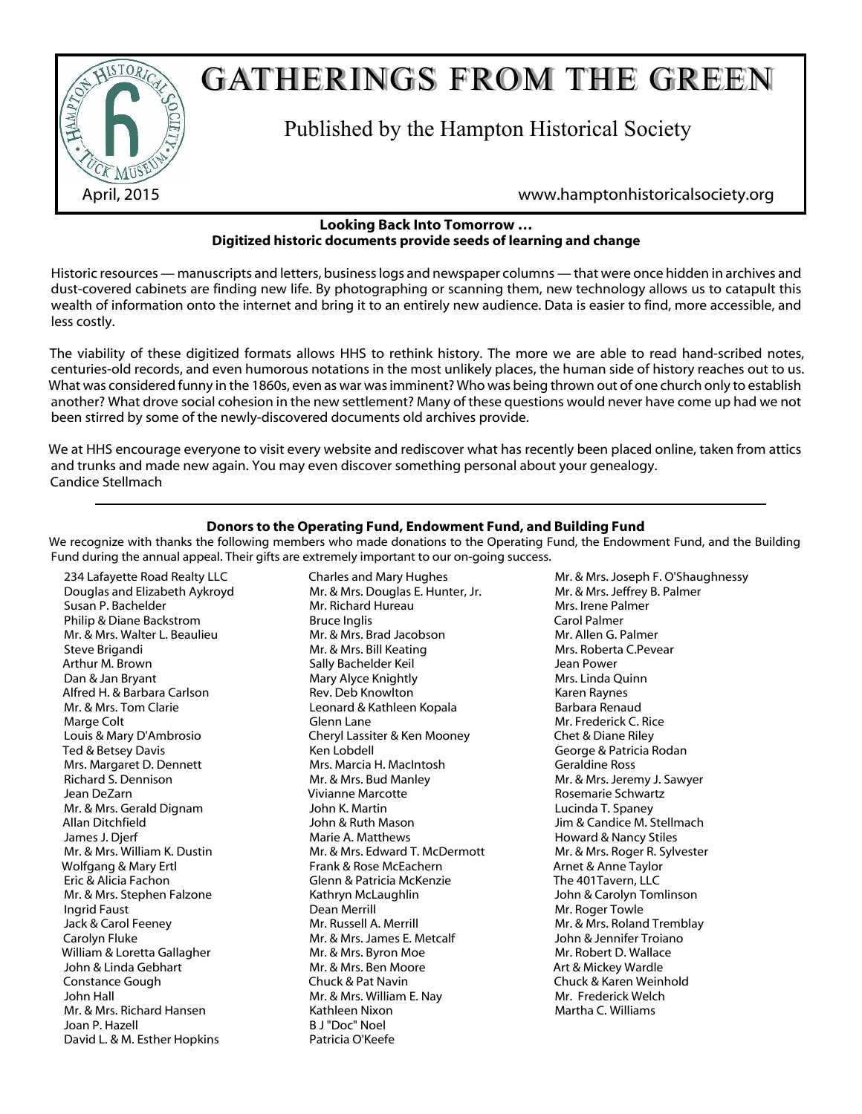

# GATHERINGS FROM THE GREEN

Published by the Hampton Historical Society

April, 2015 www.hamptonhistoricalsociety.org

#### **Looking Back Into Tomorrow … Digitized historic documents provide seeds of learning and change**

Historic resources — manuscripts and letters, business logs and newspaper columns — that were once hidden in archives and dust-covered cabinets are finding new life. By photographing or scanning them, new technology allows us to catapult this wealth of information onto the internet and bring it to an entirely new audience. Data is easier to find, more accessible, and less costly.

The viability of these digitized formats allows HHS to rethink history. The more we are able to read hand-scribed notes, centuries-old records, and even humorous notations in the most unlikely places, the human side of history reaches out to us. What was considered funny in the 1860s, even as war was imminent? Who was being thrown out of one church only to establish another? What drove social cohesion in the new settlement? Many of these questions would never have come up had we not been stirred by some of the newly-discovered documents old archives provide.

We at HHS encourage everyone to visit every website and rediscover what has recently been placed online, taken from attics and trunks and made new again. You may even discover something personal about your genealogy. Candice Stellmach

### **Donors to the Operating Fund, Endowment Fund, and Building Fund**

We recognize with thanks the following members who made donations to the Operating Fund, the Endowment Fund, and the Building Fund during the annual appeal. Their gifts are extremely important to our on-going success.

234 Lafayette Road Realty LLC Douglas and Elizabeth Aykroyd Susan P. Bachelder Philip & Diane Backstrom Mr. & Mrs. Walter L. Beaulieu Steve Brigandi Arthur M. Brown Dan & Jan Bryant Alfred H. & Barbara Carlson Mr. & Mrs. Tom Clarie Marge Colt Louis & Mary D'Ambrosio Ted & Betsey Davis Mrs. Margaret D. Dennett Richard S. Dennison Jean DeZarn Mr. & Mrs. Gerald Dignam Allan Ditchfield James J. Djerf Mr. & Mrs. William K. Dustin Wolfgang & Mary Ertl Eric & Alicia Fachon Mr. & Mrs. Stephen Falzone Ingrid Faust Jack & Carol Feeney Carolyn Fluke William & Loretta Gallagher John & Linda Gebhart Constance Gough John Hall Mr. & Mrs. Richard Hansen Joan P. Hazell David L. & M. Esther Hopkins

Charles and Mary Hughes Mr. & Mrs. Douglas E. Hunter, Jr. Mr. Richard Hureau Bruce Inglis Mr. & Mrs. Brad Jacobson Mr. & Mrs. Bill Keating Sally Bachelder Keil Mary Alyce Knightly Rev. Deb Knowlton Leonard & Kathleen Kopala Glenn Lane Cheryl Lassiter & Ken Mooney Ken Lobdell Mrs. Marcia H. MacIntosh Mr. & Mrs. Bud Manley Vivianne Marcotte John K. Martin John & Ruth Mason Marie A. Matthews Mr. & Mrs. Edward T. McDermott Frank & Rose McEachern Glenn & Patricia McKenzie Kathryn McLaughlin Dean Merrill Mr. Russell A. Merrill Mr. & Mrs. James E. Metcalf Mr. & Mrs. Byron Moe Mr. & Mrs. Ben Moore Chuck & Pat Navin Mr. & Mrs. William E. Nay Kathleen Nixon B J "Doc" Noel Patricia O'Keefe

Mr. & Mrs. Joseph F. O'Shaughnessy Mr. & Mrs. Jeffrey B. Palmer Mrs. Irene Palmer Carol Palmer Mr. Allen G. Palmer Mrs. Roberta C.Pevear Jean Power Mrs. Linda Quinn Karen Raynes Barbara Renaud Mr. Frederick C. Rice Chet & Diane Riley George & Patricia Rodan Geraldine Ross Mr. & Mrs. Jeremy J. Sawyer Rosemarie Schwartz Lucinda T. Spaney Jim & Candice M. Stellmach Howard & Nancy Stiles Mr. & Mrs. Roger R. Sylvester Arnet & Anne Taylor The 401Tavern, LLC John & Carolyn Tomlinson Mr. Roger Towle Mr. & Mrs. Roland Tremblay John & Jennifer Troiano Mr. Robert D. Wallace Art & Mickey Wardle Chuck & Karen Weinhold Mr. Frederick Welch Martha C. Williams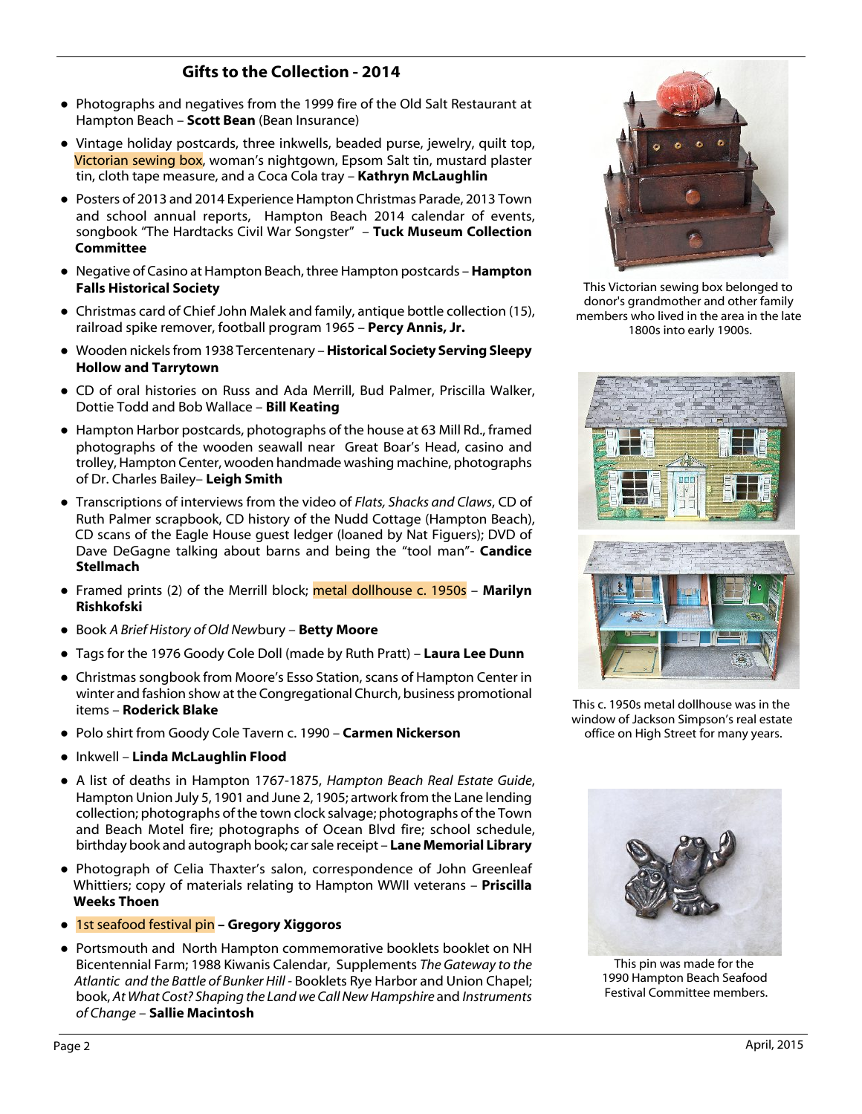# **Gifts to the Collection - 2014**

- Photographs and negatives from the 1999 fire of the Old Salt Restaurant at Hampton Beach – **Scott Bean** (Bean Insurance)
- Vintage holiday postcards, three inkwells, beaded purse, jewelry, quilt top, Victorian sewing box, woman's nightgown, Epsom Salt tin, mustard plaster tin, cloth tape measure, and a Coca Cola tray – **Kathryn McLaughlin**
- Posters of 2013 and 2014 Experience Hampton Christmas Parade, 2013 Town and school annual reports, Hampton Beach 2014 calendar of events, songbook "The Hardtacks Civil War Songster" – **Tuck Museum Collection Committee**
- Negative of Casino at Hampton Beach, three Hampton postcards **Hampton Falls Historical Society**
- Christmas card of Chief John Malek and family, antique bottle collection (15), railroad spike remover, football program 1965 – **Percy Annis, Jr.**
- Wooden nickels from 1938 Tercentenary **Historical Society Serving Sleepy Hollow and Tarrytown**
- CD of oral histories on Russ and Ada Merrill, Bud Palmer, Priscilla Walker, Dottie Todd and Bob Wallace – **Bill Keating**
- Hampton Harbor postcards, photographs of the house at 63 Mill Rd., framed photographs of the wooden seawall near Great Boar's Head, casino and trolley, Hampton Center, wooden handmade washing machine, photographs of Dr. Charles Bailey– **Leigh Smith**
- Transcriptions of interviews from the video of *Flats, Shacks and Claws*, CD of Ruth Palmer scrapbook, CD history of the Nudd Cottage (Hampton Beach), CD scans of the Eagle House guest ledger (loaned by Nat Figuers); DVD of Dave DeGagne talking about barns and being the "tool man"- **Candice Stellmach**
- Framed prints (2) of the Merrill block; metal dollhouse c. 1950s **Marilyn Rishkofski**
- Book *A Brief History of Old New*bury **Betty Moore**
- Tags for the 1976 Goody Cole Doll (made by Ruth Pratt) **Laura Lee Dunn**
- Christmas songbook from Moore's Esso Station, scans of Hampton Center in winter and fashion show at the Congregational Church, business promotional items – **Roderick Blake**
- Polo shirt from Goody Cole Tavern c. 1990 **Carmen Nickerson**
- Inkwell **Linda McLaughlin Flood**
- A list of deaths in Hampton 1767-1875, *Hampton Beach Real Estate Guide*, Hampton Union July 5, 1901 and June 2, 1905; artwork from the Lane lending collection; photographs of the town clock salvage; photographs of the Town and Beach Motel fire; photographs of Ocean Blvd fire; school schedule, birthday book and autograph book; car sale receipt – **Lane Memorial Library**
- **●** Photograph of Celia Thaxter's salon, correspondence of John Greenleaf Whittiers; copy of materials relating to Hampton WWII veterans – **Priscilla Weeks Thoen**
- 1st seafood festival pin **Gregory Xiggoros**
- Portsmouth and North Hampton commemorative booklets booklet on NH Bicentennial Farm; 1988 Kiwanis Calendar, Supplements *The Gateway to the Atlantic and the Battle of Bunker Hill -* Booklets Rye Harbor and Union Chapel; book, *At What Cost? Shaping the Land we Call New Hampshire* and *Instruments of Change* – **Sallie Macintosh**



This Victorian sewing box belonged to donor's grandmother and other family members who lived in the area in the late 1800s into early 1900s.



This c. 1950s metal dollhouse was in the window of Jackson Simpson's real estate office on High Street for many years.



This pin was made for the 1990 Hampton Beach Seafood Festival Committee members.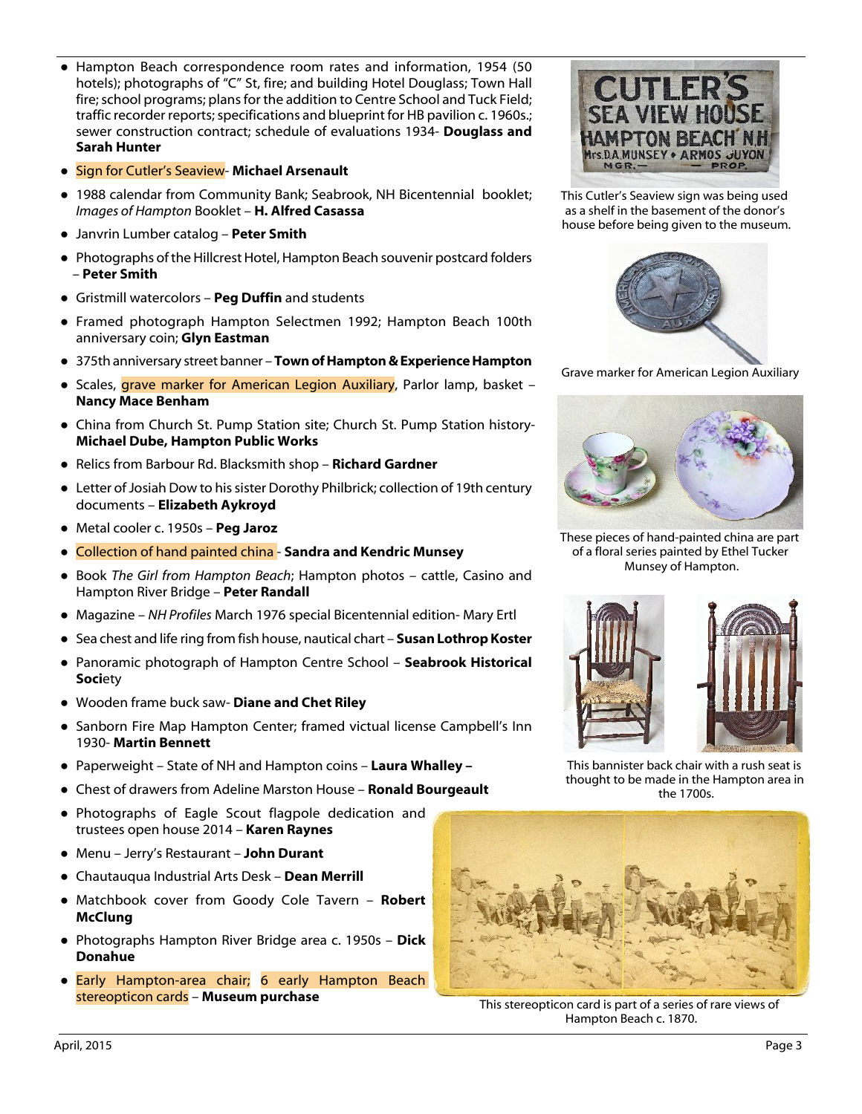- Hampton Beach correspondence room rates and information, 1954 (50 hotels); photographs of "C" St, fire; and building Hotel Douglass; Town Hall fire; school programs; plans for the addition to Centre School and Tuck Field; traffic recorder reports; specifications and blueprint for HB pavilion c. 1960s.; sewer construction contract; schedule of evaluations 1934- **Douglass and Sarah Hunter**
- Sign for Cutler's Seaview- **Michael Arsenault**
- 1988 calendar from Community Bank; Seabrook, NH Bicentennial booklet; *Images of Hampton* Booklet – **H. Alfred Casassa**
- Janvrin Lumber catalog **Peter Smith**
- Photographs of the Hillcrest Hotel, Hampton Beach souvenir postcard folders – **Peter Smith**
- Gristmill watercolors **Peg Duffin** and students
- Framed photograph Hampton Selectmen 1992; Hampton Beach 100th anniversary coin; **Glyn Eastman**
- 375th anniversary street banner **Town of Hampton & Experience Hampton**
- Scales, grave marker for American Legion Auxiliary, Parlor lamp, basket -**Nancy Mace Benham**
- China from Church St. Pump Station site; Church St. Pump Station history-**Michael Dube, Hampton Public Works**
- Relics from Barbour Rd. Blacksmith shop **Richard Gardner**
- Letter of Josiah Dow to his sister Dorothy Philbrick; collection of 19th century documents – **Elizabeth Aykroyd**
- Metal cooler c. 1950s **Peg Jaroz**
- **●** Collection of hand painted china **Sandra and Kendric Munsey**
- Book *The Girl from Hampton Beach*; Hampton photos cattle, Casino and Hampton River Bridge – **Peter Randall**
- Magazine *NH Profiles* March 1976 special Bicentennial edition- Mary Ertl
- Sea chest and life ring from fish house, nautical chart **Susan Lothrop Koster**
- Panoramic photograph of Hampton Centre School **Seabrook Historical Soci**ety
- Wooden frame buck saw- **Diane and Chet Riley**
- Sanborn Fire Map Hampton Center; framed victual license Campbell's Inn 1930- **Martin Bennett**
- Paperweight State of NH and Hampton coins **Laura Whalley –**
- Chest of drawers from Adeline Marston House **Ronald Bourgeault**
- Photographs of Eagle Scout flagpole dedication and trustees open house 2014 – **Karen Raynes**
- Menu Jerry's Restaurant **John Durant**
- Chautauqua Industrial Arts Desk **Dean Merrill**
- Matchbook cover from Goody Cole Tavern **Robert McClung**
- Photographs Hampton River Bridge area c. 1950s **Dick Donahue**
- Early Hampton-area chair; 6 early Hampton Beach stereopticon cards – **Museum purchase**



This Cutler's Seaview sign was being used as a shelf in the basement of the donor's house before being given to the museum.



Grave marker for American Legion Auxiliary



These pieces of hand-painted china are part of a floral series painted by Ethel Tucker Munsey of Hampton.



This bannister back chair with a rush seat is thought to be made in the Hampton area in the 1700s.



This stereopticon card is part of a series of rare views of Hampton Beach c. 1870.